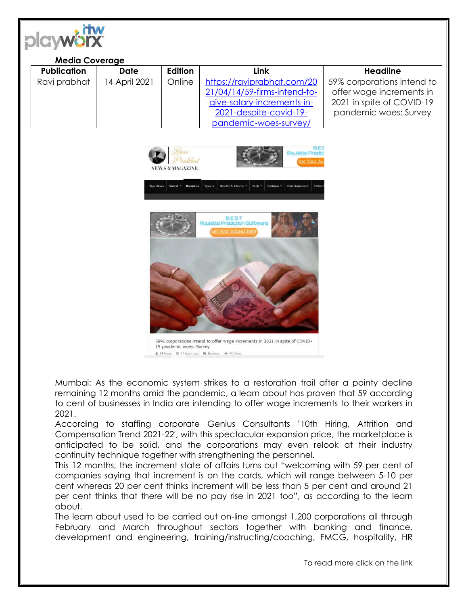

## **Media Coverage**

| <b>Publication</b> | Date          | Edition | Link                         | <b>Headline</b>            |
|--------------------|---------------|---------|------------------------------|----------------------------|
| Ravi prabhat       | 14 April 2021 | Online  | https://raviprabhat.com/20   | 59% corporations intend to |
|                    |               |         | 21/04/14/59-firms-intend-to- | offer wage increments in   |
|                    |               |         | give-salary-increments-in-   | 2021 in spite of COVID-19  |
|                    |               |         | 2021-despite-covid-19-       | pandemic woes: Survey      |
|                    |               |         | pandemic-woes-survey/        |                            |



Mumbai: As the economic system strikes to a restoration trail after a pointy decline remaining 12 months amid the pandemic, a learn about has proven that 59 according to cent of businesses in India are intending to offer wage increments to their workers in 2021.

According to staffing corporate Genius Consultants '10th Hiring, Attrition and Compensation Trend 2021-22′, with this spectacular expansion price, the marketplace is anticipated to be solid, and the corporations may even relook at their industry continuity technique together with strengthening the personnel.

This 12 months, the increment state of affairs turns out "welcoming with 59 per cent of companies saying that increment is on the cards, which will range between 5-10 per cent whereas 20 per cent thinks increment will be less than 5 per cent and around 21 per cent thinks that there will be no pay rise in 2021 too", as according to the learn about.

The learn about used to be carried out on-line amongst 1,200 corporations all through February and March throughout sectors together with banking and finance, development and engineering, training/instructing/coaching, FMCG, hospitality, HR

To read more click on the link